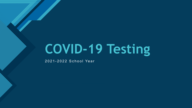# **COVID-19 Testing**

2021 - 2022 School Year

**Click to edit Master title style**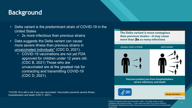## **Click to edit Master title style Background**

- Delta variant is the predominant strain of COVID-19 in the United States
	- 2x more infectious than previous strains
- Data suggests the Delta variant can cause more severe illness than previous strains in unvaccinated individuals\* (CDC D, 2021).
	- COVID-19 vaccinations are not yet FDA approved for children under 12 years old. (CDC B, 2021) Those who are unvaccinated are at the greatest risk for contracting and transmitting COVID-19 (CDC D, 2021).

\*COVID-19 is still a risk if you are vaccinated. Vaccination prevents severe illness, hospitalization and death (CDC F, 2021).

The Delta variant is more contagious than previous strains-it may cause more than 2x as many infections



Vaccines protect you from hospitalization, severe infections, and death



cdc.gov/coronavirus

CS 322041-AA 08/02/2021

2 2

Center for Disease Control and Prevention. (2021). The Delta variant is more contagious than previous strains – it may cause more than 2x as many infectious [Photograph]. Retrieved from https://www.cdc.gov/coronavirus/2019-ncov/variants/deltavariant.html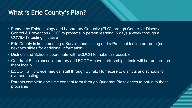## What is Erie County's Plan?

- Funded by Epidemiology and Laboratory Capacity (ELC) through Center for Disease Control & Prevention (CDC) to promote in person learning, 5 days a week through a COVID-19 testing initiative
- Erie County is implementing a Surveillance testing and a Proximal testing program (see next two slides for additional information)
- Districts and Schools coordinate with ECDOH to make this possible
- Quadrant Biosciences laboratory and ECDOH have partnership tests will be run through them locally
- ECDOH will provide medical staff through Buffalo Homecare to districts and schools to oversee testing
- Parents complete one-time consent form through Quadrant Biosciences to opt-in to these programs

3 3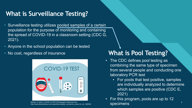## **What is Surveillance Testing?**

- Surveillance testing utilizes pooled samples of a certain population for the purpose of monitoring and containing the spread of COVID-19 in a classroom setting (CDC G, 2021).
- Anyone in the school population can be tested
- 



McKee, S. (2021). COVID-19 TEST [Photograph]. Retrieved from<br>http://www.pharmatimes.com/news/twice-weekly\_coronavirus\_tests\_for\_all\_1366382 SDCCIMENS

## • No cost, regardless of insurance **What is Pool Testing?**

- The CDC defines pool testing as combining the same type of specimen from several people and conducting one laboratory PCR test
	- For pools that test positive, samples are individually analyzed to determine which samples are positive (CDC E, 2021)

4

• For this program, pools are up to 12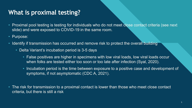## What is proximal testing?

- Proximal pool testing is testing for individuals who do not meet close contact criteria (see next slide) and were exposed to COVID-19 in the same room.
- Purpose:
- Identify if transmission has occurred and remove risk to protect the overall building
	- Delta Variant's incubation period is 3-5 days
		- False positives are higher in specimens with low viral loads, low viral loads occur when folks are tested either too soon or too late after infection (Syal, 2020).
		- Incubation period is the time between exposure to a positive case and development of symptoms, if not asymptomatic (CDC A, 2021).
- The risk for transmission to a proximal contact is lower than those who meet close contact criteria, but there is still a risk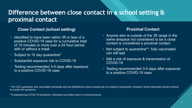## Difference between close contact in a school setting & **proximal contact**

#### **Close Contact (school setting) Proximal Contact**

- Identified to have been within 3ft or less of a positive COVID-19 case for a cumulative total of 15 minutes or more over a 24 hour period, with or without a mask
- Subject to 10 day quarantine\*
- Substantial exposure risk to COVID-19
- Testing recommended 3-5 days after exposure to a positive COVID-19 case

- Anyone who is outside of the 3ft range in the same airspace not considered to be a close contact is considered a proximal contact
- Not subject to quarantine\*\*, fully vaccinated can still test
- Still a risk of exposure & transmission of COVID-19
- Testing recommended 3-5 days after exposure to a positive COVID-19 case

6

6

\* Per CDC guidelines, fully vaccinated individuals who are identified as close contacts are not subject to quarantine. However, these individuals should continue to monitor for symptoms.

\*\*If experiencing COVID-19 symptoms, individual must follow return to school protocol.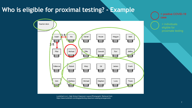### **COLIGE TO PROXIMAL LEST** MASTER IS ENGINEER **Who is eligible for proximal testing? - Example**



Lucidchart (n.d.). High School Classroom Layout [Photograph]. Retrieved from https://www.lucidchart.com/blog/perfecting-classroom-seating-arrangements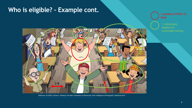#### **COLIGE TO EXALL THE STATE STATE OF Who is eligible? – Example cont.**



= positive COVID-19 case

= individuals eligible for

Wilkinson, M (2020). Disney+: Ranking The Main Characters of Recess By Their Intelligence [Photograph]. Retrieved from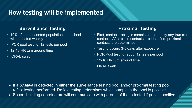## How testing will be implemented

### **Surveillance Testing Texting Results Proximal Testing**

- 10% of the consented population in a school will be tested weekly
- PCR pool testing, 12 tests per pool
- 12-18 HR turn around time
- ORAL swab

• First, contact tracing is completed to identify any true close contacts. After close contacts are identified, proximal contacts are determined

> 9 9

- Testing occurs 3-5 days after exposure
- PCR Pool testing, about 12 tests per pool
- 12-18 HR turn around time
- ORAI swab

 If a *positive* is detected in either the surveillance testing pool and/or proximal testing pool, reflex testing performed. Reflex testing determines which sample in the pool is positive.  $\triangleright$  School building coordinators will communicate with parents of those tested if pool is positive.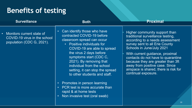## **Benefits of testing**

**Proximal** Higher community support than traditional surveillance testing, according to a needs assessment survey sent to all Erie County Schools in June/July 2021 With current guidance, proximal contacts do not have to quarantine because they are greater than 3ft away from positive case. Since airspace is shared, there is risk for continual exposure. • Can identify those who have contracted COVID-19 before classroom spread can occur • Positive individuals for COVID-19 are able to spread the virus 2 days before symptoms start (CDC C, 2021). By removing that individual from the school setting, it can stop the spread to other students and staff. • Promotes in person learning • PCR test is more accurate than rapid & at home tests • Non invasive test (oral swab) **Surveillance** Monitors current state of COVID-19 virus in the school population (CDC G, 2021). **Both**

10 10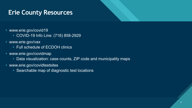## **Erie County Resources**

- www.erie.gov/covid19
	- COVID-19 Info Line: (716) 858-2929
- www.erie.gov/vax
	- Full schedule of ECDOH clinics
- www.erie.gov/covidmap
	- Data visualization: case counts, ZIP code and municipality maps

11 11

- www.erie.gov/covidtestsites
	- Searchable map of diagnostic test locations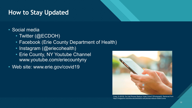## **How to Stay Updated**

- Social media
	- Twitter (@ECDOH)
	- Facebook (Erie County Department of Health)
	- Instagram (@eriecohealth)
	- Erie County, NY Youtube Channel www.youtube.com/eriecountyny
- Web site: www.erie.gov/covid19



Craig, D (2019). Do Cell Phones Reduce Violet Crime? [Photograph]. Retrieved from https://magazine.columbia.edu/article/do-cell-phones-reduce-violent-crime